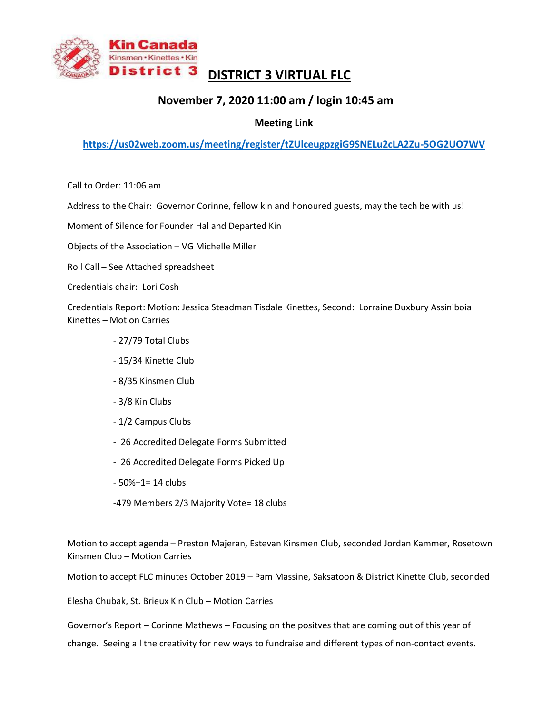

## **DISTRICT 3 VIRTUAL FLC**

## **November 7, 2020 11:00 am / login 10:45 am**

## **Meeting Link**

**<https://us02web.zoom.us/meeting/register/tZUlceugpzgiG9SNELu2cLA2Zu-5OG2UO7WV>**

Call to Order: 11:06 am

Address to the Chair: Governor Corinne, fellow kin and honoured guests, may the tech be with us!

Moment of Silence for Founder Hal and Departed Kin

Objects of the Association – VG Michelle Miller

Roll Call – See Attached spreadsheet

Credentials chair: Lori Cosh

Credentials Report: Motion: Jessica Steadman Tisdale Kinettes, Second: Lorraine Duxbury Assiniboia Kinettes – Motion Carries

- 27/79 Total Clubs
- 15/34 Kinette Club
- 8/35 Kinsmen Club
- 3/8 Kin Clubs
- 1/2 Campus Clubs
- 26 Accredited Delegate Forms Submitted
- 26 Accredited Delegate Forms Picked Up
- $-50% + 1 = 14$  clubs
- -479 Members 2/3 Majority Vote= 18 clubs

Motion to accept agenda – Preston Majeran, Estevan Kinsmen Club, seconded Jordan Kammer, Rosetown Kinsmen Club – Motion Carries

Motion to accept FLC minutes October 2019 – Pam Massine, Saksatoon & District Kinette Club, seconded

Elesha Chubak, St. Brieux Kin Club – Motion Carries

Governor's Report – Corinne Mathews – Focusing on the positves that are coming out of this year of

change. Seeing all the creativity for new ways to fundraise and different types of non-contact events.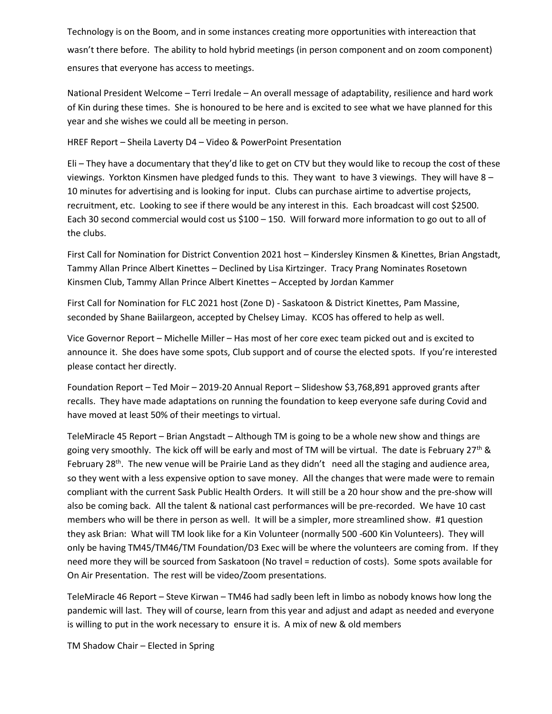Technology is on the Boom, and in some instances creating more opportunities with intereaction that wasn't there before. The ability to hold hybrid meetings (in person component and on zoom component) ensures that everyone has access to meetings.

National President Welcome – Terri Iredale – An overall message of adaptability, resilience and hard work of Kin during these times. She is honoured to be here and is excited to see what we have planned for this year and she wishes we could all be meeting in person.

HREF Report – Sheila Laverty D4 – Video & PowerPoint Presentation

Eli – They have a documentary that they'd like to get on CTV but they would like to recoup the cost of these viewings. Yorkton Kinsmen have pledged funds to this. They want to have 3 viewings. They will have 8 – 10 minutes for advertising and is looking for input. Clubs can purchase airtime to advertise projects, recruitment, etc. Looking to see if there would be any interest in this. Each broadcast will cost \$2500. Each 30 second commercial would cost us \$100 – 150. Will forward more information to go out to all of the clubs.

First Call for Nomination for District Convention 2021 host – Kindersley Kinsmen & Kinettes, Brian Angstadt, Tammy Allan Prince Albert Kinettes – Declined by Lisa Kirtzinger. Tracy Prang Nominates Rosetown Kinsmen Club, Tammy Allan Prince Albert Kinettes – Accepted by Jordan Kammer

First Call for Nomination for FLC 2021 host (Zone D) - Saskatoon & District Kinettes, Pam Massine, seconded by Shane Baiilargeon, accepted by Chelsey Limay. KCOS has offered to help as well.

Vice Governor Report – Michelle Miller – Has most of her core exec team picked out and is excited to announce it. She does have some spots, Club support and of course the elected spots. If you're interested please contact her directly.

Foundation Report – Ted Moir – 2019-20 Annual Report – Slideshow \$3,768,891 approved grants after recalls. They have made adaptations on running the foundation to keep everyone safe during Covid and have moved at least 50% of their meetings to virtual.

TeleMiracle 45 Report – Brian Angstadt – Although TM is going to be a whole new show and things are going very smoothly. The kick off will be early and most of TM will be virtual. The date is February 27<sup>th</sup> & February 28<sup>th</sup>. The new venue will be Prairie Land as they didn't need all the staging and audience area, so they went with a less expensive option to save money. All the changes that were made were to remain compliant with the current Sask Public Health Orders. It will still be a 20 hour show and the pre-show will also be coming back. All the talent & national cast performances will be pre-recorded. We have 10 cast members who will be there in person as well. It will be a simpler, more streamlined show. #1 question they ask Brian: What will TM look like for a Kin Volunteer (normally 500 -600 Kin Volunteers). They will only be having TM45/TM46/TM Foundation/D3 Exec will be where the volunteers are coming from. If they need more they will be sourced from Saskatoon (No travel = reduction of costs). Some spots available for On Air Presentation. The rest will be video/Zoom presentations.

TeleMiracle 46 Report – Steve Kirwan – TM46 had sadly been left in limbo as nobody knows how long the pandemic will last. They will of course, learn from this year and adjust and adapt as needed and everyone is willing to put in the work necessary to ensure it is. A mix of new & old members

TM Shadow Chair – Elected in Spring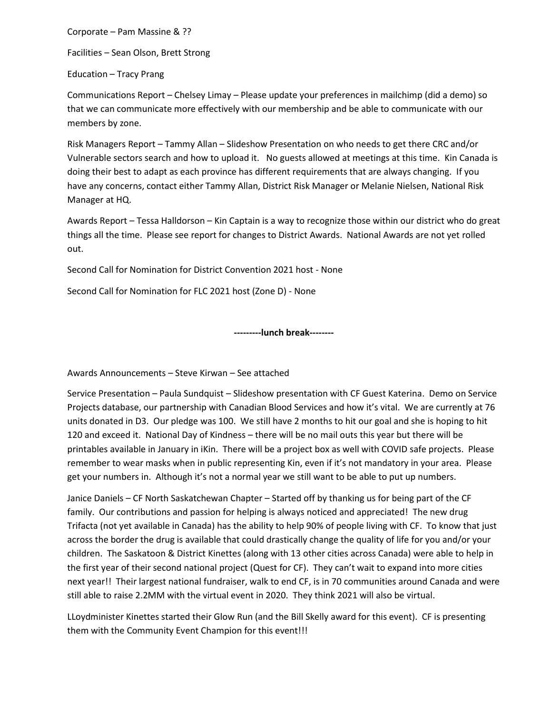Corporate – Pam Massine & ??

Facilities – Sean Olson, Brett Strong

Education – Tracy Prang

Communications Report – Chelsey Limay – Please update your preferences in mailchimp (did a demo) so that we can communicate more effectively with our membership and be able to communicate with our members by zone.

Risk Managers Report – Tammy Allan – Slideshow Presentation on who needs to get there CRC and/or Vulnerable sectors search and how to upload it. No guests allowed at meetings at this time. Kin Canada is doing their best to adapt as each province has different requirements that are always changing. If you have any concerns, contact either Tammy Allan, District Risk Manager or Melanie Nielsen, National Risk Manager at HQ.

Awards Report – Tessa Halldorson – Kin Captain is a way to recognize those within our district who do great things all the time. Please see report for changes to District Awards. National Awards are not yet rolled out.

Second Call for Nomination for District Convention 2021 host - None

Second Call for Nomination for FLC 2021 host (Zone D) - None

**---------lunch break--------**

Awards Announcements – Steve Kirwan – See attached

Service Presentation – Paula Sundquist – Slideshow presentation with CF Guest Katerina. Demo on Service Projects database, our partnership with Canadian Blood Services and how it's vital. We are currently at 76 units donated in D3. Our pledge was 100. We still have 2 months to hit our goal and she is hoping to hit 120 and exceed it. National Day of Kindness – there will be no mail outs this year but there will be printables available in January in iKin. There will be a project box as well with COVID safe projects. Please remember to wear masks when in public representing Kin, even if it's not mandatory in your area. Please get your numbers in. Although it's not a normal year we still want to be able to put up numbers.

Janice Daniels – CF North Saskatchewan Chapter – Started off by thanking us for being part of the CF family. Our contributions and passion for helping is always noticed and appreciated! The new drug Trifacta (not yet available in Canada) has the ability to help 90% of people living with CF. To know that just across the border the drug is available that could drastically change the quality of life for you and/or your children. The Saskatoon & District Kinettes (along with 13 other cities across Canada) were able to help in the first year of their second national project (Quest for CF). They can't wait to expand into more cities next year!! Their largest national fundraiser, walk to end CF, is in 70 communities around Canada and were still able to raise 2.2MM with the virtual event in 2020. They think 2021 will also be virtual.

LLoydminister Kinettes started their Glow Run (and the Bill Skelly award for this event). CF is presenting them with the Community Event Champion for this event!!!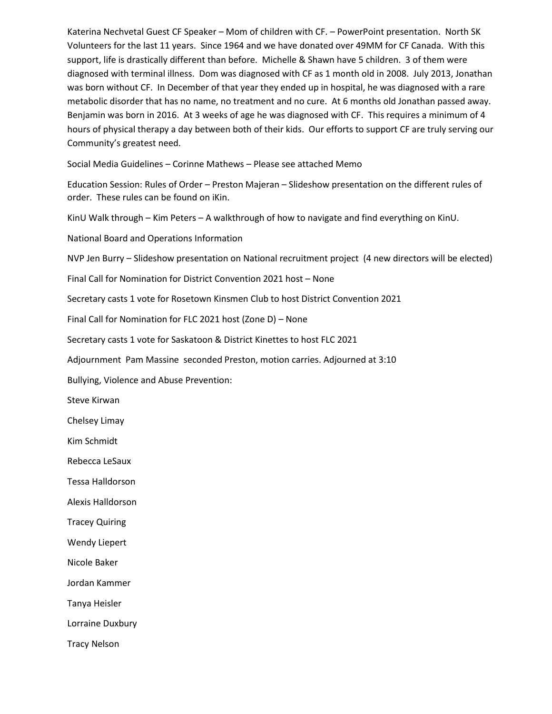Katerina Nechvetal Guest CF Speaker – Mom of children with CF. – PowerPoint presentation. North SK Volunteers for the last 11 years. Since 1964 and we have donated over 49MM for CF Canada. With this support, life is drastically different than before. Michelle & Shawn have 5 children. 3 of them were diagnosed with terminal illness. Dom was diagnosed with CF as 1 month old in 2008. July 2013, Jonathan was born without CF. In December of that year they ended up in hospital, he was diagnosed with a rare metabolic disorder that has no name, no treatment and no cure. At 6 months old Jonathan passed away. Benjamin was born in 2016. At 3 weeks of age he was diagnosed with CF. This requires a minimum of 4 hours of physical therapy a day between both of their kids. Our efforts to support CF are truly serving our Community's greatest need.

Social Media Guidelines – Corinne Mathews – Please see attached Memo

Education Session: Rules of Order – Preston Majeran – Slideshow presentation on the different rules of order. These rules can be found on iKin.

KinU Walk through – Kim Peters – A walkthrough of how to navigate and find everything on KinU.

National Board and Operations Information

NVP Jen Burry – Slideshow presentation on National recruitment project (4 new directors will be elected)

Final Call for Nomination for District Convention 2021 host – None

Secretary casts 1 vote for Rosetown Kinsmen Club to host District Convention 2021

Final Call for Nomination for FLC 2021 host (Zone D) – None

Secretary casts 1 vote for Saskatoon & District Kinettes to host FLC 2021

Adjournment Pam Massine seconded Preston, motion carries. Adjourned at 3:10

Bullying, Violence and Abuse Prevention:

Steve Kirwan

Chelsey Limay

Kim Schmidt

Rebecca LeSaux

Tessa Halldorson

Alexis Halldorson

Tracey Quiring

Wendy Liepert

Nicole Baker

Jordan Kammer

Tanya Heisler

Lorraine Duxbury

Tracy Nelson